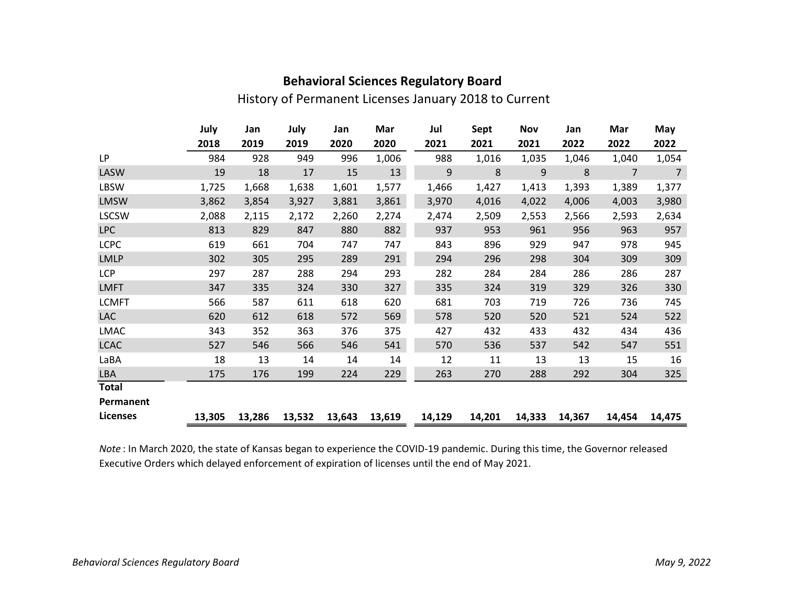| <b>Behavioral Sciences Regulatory Board</b> |  |
|---------------------------------------------|--|
|---------------------------------------------|--|

## History of Permanent Licenses January 2018 to Current

|                 | July   | Jan    | July   | Jan    | Mar    | Jul    | Sept   | <b>Nov</b> | Jan    | Mar            | May            |
|-----------------|--------|--------|--------|--------|--------|--------|--------|------------|--------|----------------|----------------|
|                 | 2018   | 2019   | 2019   | 2020   | 2020   | 2021   | 2021   | 2021       | 2022   | 2022           | 2022           |
| LP              | 984    | 928    | 949    | 996    | 1,006  | 988    | 1,016  | 1,035      | 1,046  | 1,040          | 1,054          |
| LASW            | 19     | 18     | 17     | 15     | 13     | 9      | 8      | 9          | 8      | $\overline{7}$ | $\overline{7}$ |
| LBSW            | 1,725  | 1,668  | 1,638  | 1,601  | 1,577  | 1,466  | 1,427  | 1,413      | 1,393  | 1,389          | 1,377          |
| <b>LMSW</b>     | 3,862  | 3,854  | 3,927  | 3,881  | 3,861  | 3,970  | 4,016  | 4,022      | 4,006  | 4,003          | 3,980          |
| <b>LSCSW</b>    | 2,088  | 2,115  | 2,172  | 2,260  | 2,274  | 2,474  | 2,509  | 2,553      | 2,566  | 2,593          | 2,634          |
| <b>LPC</b>      | 813    | 829    | 847    | 880    | 882    | 937    | 953    | 961        | 956    | 963            | 957            |
| <b>LCPC</b>     | 619    | 661    | 704    | 747    | 747    | 843    | 896    | 929        | 947    | 978            | 945            |
| <b>LMLP</b>     | 302    | 305    | 295    | 289    | 291    | 294    | 296    | 298        | 304    | 309            | 309            |
| <b>LCP</b>      | 297    | 287    | 288    | 294    | 293    | 282    | 284    | 284        | 286    | 286            | 287            |
| <b>LMFT</b>     | 347    | 335    | 324    | 330    | 327    | 335    | 324    | 319        | 329    | 326            | 330            |
| <b>LCMFT</b>    | 566    | 587    | 611    | 618    | 620    | 681    | 703    | 719        | 726    | 736            | 745            |
| LAC             | 620    | 612    | 618    | 572    | 569    | 578    | 520    | 520        | 521    | 524            | 522            |
| LMAC            | 343    | 352    | 363    | 376    | 375    | 427    | 432    | 433        | 432    | 434            | 436            |
| <b>LCAC</b>     | 527    | 546    | 566    | 546    | 541    | 570    | 536    | 537        | 542    | 547            | 551            |
| LaBA            | 18     | 13     | 14     | 14     | 14     | 12     | 11     | 13         | 13     | 15             | 16             |
| LBA             | 175    | 176    | 199    | 224    | 229    | 263    | 270    | 288        | 292    | 304            | 325            |
| <b>Total</b>    |        |        |        |        |        |        |        |            |        |                |                |
| Permanent       |        |        |        |        |        |        |        |            |        |                |                |
| <b>Licenses</b> | 13,305 | 13,286 | 13,532 | 13,643 | 13,619 | 14,129 | 14,201 | 14,333     | 14,367 | 14,454         | 14,475         |

Note : In March 2020, the state of Kansas began to experience the COVID-19 pandemic. During this time, the Governor released Executive Orders which delayed enforcement of expiration of licenses until the end of May 2021.